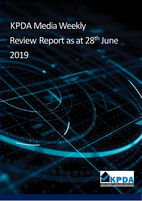# KPDA Media Weekly Review Report as at 28<sup>th</sup> June 2019

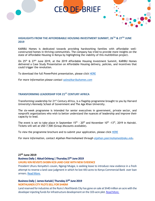

# **HIGHLIGHTS FROM THE AFFORDBABLE HOUSING INVESTMENT SUMMIT, 26TH & 27TH JUNE 2019**

KARIBU Homes is dedicated towards providing hardworking families with affordable wellconstructed homes in thriving communities. The company has tried to provide more insights on the state of Affordable Housing in Kenya by highlighting the viability of this multibillion project.

On 25<sup>th</sup> & 27<sup>th</sup> June 2019, at the 2019 Affordable Housing Investment Summit, KARIBU Homes delivered a Case Study Presentation on Affordable Housing delivery, policies, and incentives that could trigger the revolution.

To download the full PowerPoint presentation, please click [HERE](../E-digest/190620%20-%20AHIS%20DECK.pptx)

*For more information please contact [sales@karibuhomes.com](mailto:sales@karibuhomes.com)*

#### **TRANSFORMING LEADERSHIP FOR 21ST CENTURY AFRICA**

Transforming Leadership for 21<sup>st</sup> Century Africa, is a flagship programme brought to you by Harvard University's Kennedy School of Government and The Aga Khan University.

The six-week programme is intended for senior executives in government, private sector, and nonprofit organizations who wish to better understand the nuances of leadership and improve their capacity to lead.

The event is set to take place in September 15<sup>th</sup> -  $20<sup>th</sup>$  and November 10<sup>th</sup> -13<sup>th</sup>, 2019 in Nairobi. Tickets will sell at USD 7,500 (Group discounts available).

To view the programme brochure and to submit your application, please click [HERE](https://akumedia.aku.edu/course/transforming-leadership-for-21st-century-africa/)

*For more information, contact Alykhan Peermohamed through [alykhan.peermohamed@aku.edu.](mailto:alykhan.peermohamed@aku.edu)*

#### **27th June 2019**

#### **Business Daily | Abiud Ochieng | Thursday 27th June 2019**

**UHURU KIN REVISITS SH3BN KCB LAND CASE WITH NEW EVIDENCE**

President Uhuru Kenyatta's cousin, Ngengi Muigai, is seeking leave to introduce new evidence in a fresh attempt to reverse a land case judgment in which he lost 443 acres to Kenya Commercial Bank over loan arrears. [Read More.](https://www.businessdailyafrica.com/news/Ngengi-Muigai--KCB-land-case/539546-5174384-mdxqg8/index.html)

#### **Business Daily | James Kariuki| Thursday 27th June 2019 NORTHLANDS CITY PLOTS SELL FOR SH40M**

Land reserved for industries at the Ruiru's Northlands City has gone on sale at Sh40 million an acre with the developer injecting funds for infrastructure development on the 103-acre plot. [Read More.](https://www.businessdailyafrica.com/markets/marketnews/Northlands-City-plots-sell-for-Sh40m/3815534-5174274-mcehpn/index.html)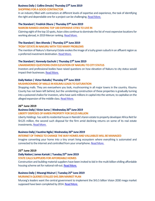# **Business Daily | Collins Omulo| Thursday 27th June 2019**

# **SHOPPING FOR A GOOD CONTRACTOR**

In an industry filled with contractors at different levels of expertise and experience, the task of identifying the right and dependable one for a project can be challenging. [Read More.](https://www.businessdailyafrica.com/Shopping-for-a-good-contractor/539444-5174566-hoi7sxz/index.html)

# **The Standard | Fredrick Obura | Thursday 27th June 2019**

#### **NAIROBI RANKED AMONG TOP 100 EXPENSIVE CITIES TO LIVE IN**

Claiming eight of the top 10 spots, Asian cities continue to dominate the list of most expensive locations for working abroad, in 2019 Mercer ranking. [Read More.](https://www.standardmedia.co.ke/business/article/2001331654/nairobi-ranked-among-top-100-most-expensive-cities-in-the-world)

#### **The Standard | Ben Ahenda | Thursday 27th June 2019**

# **'POSH' ESTATE IN NAKURU WITH TOO MANY PROBLEMS**

The mention of Nakuru's Kiamunyi Estate evokes the image of a lushy green suburb in an affluent region as a preferred investment destination. [Read More.](https://www.standardmedia.co.ke/business/article/2001331631/posh-estate-with-too-many-problems)

# **The Standard | Kennedy Gachuhi | Thursday 27th June 2019**

# **UNANSWERED QUESTIONS OVER ELEVATION OF NAKURU TO CITY STATUS**

Investors and professional bodies have raised questions on how elevation of Nakuru to city status would impact their businesses. Read [More.](https://www.standardmedia.co.ke/business/article/2001331556/unanswered-questions-over-elevation-of-nakuru-to-city-status)

#### **Daily Nation | Victor Raballa| Thursday 27th June 2019**

# **MUSHROOMING OF MALLS IN KISUMU LEADS TO SATURATION**

Shopping malls. They are everywhere you look, mushrooming in all major towns in the country. Kisumu County has not been left behind, but the unrelenting construction of these properties is gradually turning into a poisoned chalice for investors, who have sank millions in capital into the venture, to capitalise on the alleged expansion of the middle class. [Read More.](https://www.nation.co.ke/lifestyle/dn2/Mushrooming-of-malls-in-Kisumu-leads-to-saturation/957860-5172684-12jli65z/index.html)

#### **26th June 2019**

#### **Business Daily| Victor Juma | Wednesday 26th June 2019 LIBERTY DISPOSES OF KAREN PROPERTY FOR SH125 MILLION**

Liberty Holdings has sold its residential house in Nairobi's Karen estate to property developer Africa Reit for Sh125 million, the second such disposal for the firm amid declining returns on some of its real estate investments. [Read More.](https://www.businessdailyafrica.com/corporate/companies/Liberty-disposes-of-Karen-property-for-Sh125-million/4003102-5172874-e40dn5/index.html)

#### **Business Daily| Faustine Ngila| Wednesday 26th June 2019**

#### **INTERNET OF THINGS TO CHANGE THE WAY HOMES AND VALUABLES WILL BE MANAGED**

Imagine converting your home into a tiny smart living ecosystem where everything is automated and connected to the internet and controlled from your smartphone. [Read More.](https://www.businessdailyafrica.com/corporate/tech/Internet-of-Things-to-change--homes/4258474-5172764-voiem4/index.html)

# **25th June 2019**

# **Daily Nation| James Kariuki | Tuesday 25th June 2019**

#### **STATE CALLS SUPPLIERS FOR AFFORDABLE HOMES**

Construction and building material suppliers have been invited to bid in the multi-billion-shilling affordable housing scheme set for national roll-out. [Read More.](https://www.nation.co.ke/business/State-calls-suppliers-for-affordable-homes/996-5171640-6kl9ns/index.html)

#### **Business Daily | Mwangi Muiruri | Tuesday 25th June 2019 MURANG'A QUERIES STALLED SH5.5BN MARKET PLAN**

Murang'a leaders want the central government to implement the Sh5.5 billion Vision 2030 mega market supposed have been completed by 2014. [Read More.](https://www.businessdailyafrica.com/markets/marketnews/Murang-a-queries-stalled-Sh5-5bn-market-plan/3815534-5171370-26121q/index.html)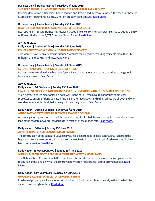# **Business Daily | Stanley Ngotho | Tuesday 25th June 2019**

#### **SHELTER AFRIQUE LAUNCHES SH720M PHASE II OF EVEREST PARK PROJECT**

Housing development financier Shelter Afrique and Everest Ltd Tuesday launched the second phase of Everest Park Apartments in a Sh720 million property joint venture. [Read More.](https://www.businessdailyafrica.com/markets/marketnews/3815534-5171358-gbv4gg/index.html)

#### **Business Daily | James Kariuki | Tuesday 25th June 2019**

#### **REALTOR GETS NOD FOR 20-ACRE NGONG FOREST ECO-LODGE**

Real estate firm Secure Homes has received a special licence from Kenya Forest Service to put up a Sh80 million eco-lodge in the 3,077.6 hectare Ngong Forest. [Read More.](https://www.businessdailyafrica.com/markets/marketnews/Realtor-gets-nod-for-Ngong-Forest-eco-lodge/3815534-5171360-dceq8az/index.html)

# **24th June 2019**

# **Daily Nation | Anthony Kitimo| Monday 24th June 2019 POLICE ARREST TWO WOMEN IN KISAUNI LAND SYNDICATE**

Two women have been arrested in Kisauni, Mombasa for allegedly defrauding residents more than Sh2 million in a land-buying syndicate. [Read More.](https://www.nation.co.ke/counties/mombasa/Police-arrest-2-in-Kisauni-land-syndicate/1954178-5169282-as958o/index.html)

#### **Business Daily | James Kariuki | Monday 24th June 2019**

#### **CYTONN PLANS ONE HOUSING PROJECT AT A-TIME**

Real-estate market slowdown has seen Cytonn Investments adopt one project at-a-time strategy for its future investments. [Read More.](https://www.businessdailyafrica.com/markets/marketnews/Cytonn-one-housing-project-at-a-time/3815534-5169782-r7it02z/index.html)

#### **23rd June 2019**

# **DailyNation| Eric Wainaina | Sunday 23rd June 2019**

# **FRAUDULENT PROPERTY, LAND DEALERS PREY ON INVESTORS WITH GLITZY MARKETING SCHEMES** "Getting your desired piece of land is not a walk in the park - you have to go through some legal processes to ensure the land you acquire is legitimate. Nowadays, land selling offices are all over and one wonders where all this land that is being sold on a daily basis is. [Read More.](https://www.nation.co.ke/business/Property-dealers-prey-on-investors/996-5168602-7bfm2oz/index.html)

#### **Daily Nation| Dominic Wabala | Sunday 23rd June 2019**

#### **ANTI-GRAFT AGENCY SEEKS TO RECOVER 990-ACRE ADC LAND**

An investigation by anti-corruption detectives has revealed fresh details on the controversial allocation of land at the coast to powerful individuals for a fraction of the market rate. [Read More.](https://www.nation.co.ke/news/Anti-graft-agency-seeks-to-recover-990-acre-ADC-land/1056-5168142-gv77t0z/index.html)

#### **Daily Nation| Editorial | Sunday 23rd June 2019**

#### **APPREHEND SGR LAND SCANDAL MASTERMINDS**

The construction of the Standard Gauge Railway has been steeped in deep controversy right from the beginning. Now, the extension of the line from Nairobi to Naivasha has stirred a fresh row, specifically over land compensation[. Read More.](https://www.nation.co.ke/oped/editorial/-Apprehend-SGR-land-scandal-masterminds/440804-5168148-72f7ysz/index.html)

# **Daily Nation| IBRAHIM ORUKO| Sunday 23rd June 2019**

#### **AGENCY IN FRESH BID TO REPOSSESS CONTESTED WESTON HOTEL LAND**

The National Land Commission (NLC) did not have the jurisdiction to preside over the complaint on the restitution of the land on which the controversial Weston Hotel stands, court documents state. Read [More.](https://www.nation.co.ke/news/Agency-in-fresh-bid-to-repossess--Weston-Hotel-land/1056-5168140-n3uhqc/index.html)

# **Daily Nation| Sam Wambugu | Sunday 23rd June 2019**

# **GUARDING AGAINST INTELLECTUAL PROPERTY THEFT**

Intellectual property is a lifeline for most organisations but it's now placed squarely in the crosshairs by various forms of cyberattack[. Read More.](https://www.nation.co.ke/oped/opinion/Guarding-against-intellectual-property-theft/440808-5167528-bxc5j5/index.html)